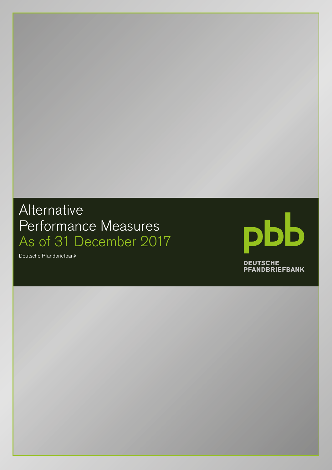# Alternative Performance Measures As of 31 December 2017



Deutsche Pfandbriefbank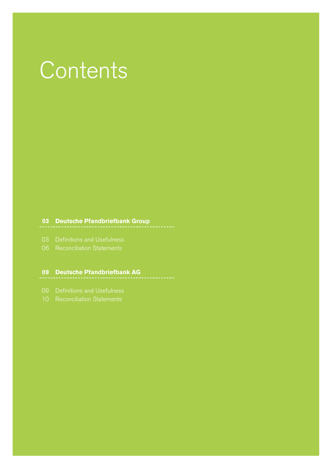# **Contents**

**03 Deutsche Pfandbriefbank Group**

- 
- 

## **09 Deutsche Pfandbriefbank AG**

- 
-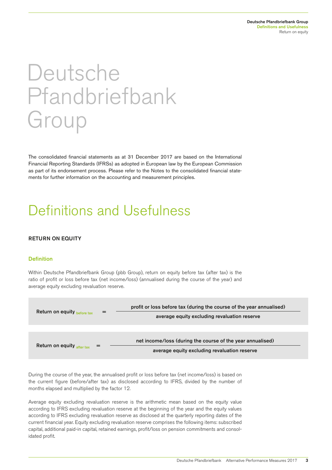# Deutsche Pfandbriefbank Group

The consolidated financial statements as at 31 December 2017 are based on the International Financial Reporting Standards (IFRSs) as adopted in European law by the European Commission as part of its endorsement process. Please refer to the Notes to the consolidated financial statements for further information on the accounting and measurement principles.

# Definitions and Usefulness

## RETURN ON EQUITY

#### **Definition**

Within Deutsche Pfandbriefbank Group (pbb Group), return on equity before tax (after tax) is the ratio of profit or loss before tax (net income/loss) (annualised during the course of the year) and average equity excluding revaluation reserve.



During the course of the year, the annualised profit or loss before tax (net income/loss) is based on the current figure (before/after tax) as disclosed according to IFRS, divided by the number of months elapsed and multiplied by the factor 12.

Average equity excluding revaluation reserve is the arithmetic mean based on the equity value according to IFRS excluding revaluation reserve at the beginning of the year and the equity values according to IFRS excluding revaluation reserve as disclosed at the quarterly reporting dates of the current financial year. Equity excluding revaluation reserve comprises the following items: subscribed capital, additional paid-in capital, retained earnings, profit/loss on pension commitments and consolidated profit.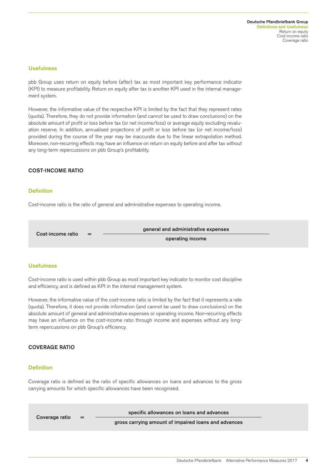#### **Usefulness**

pbb Group uses return on equity before (after) tax as most important key performance indicator (KPI) to measure profitability. Return on equity after tax is another KPI used in the internal management system.

However, the informative value of the respective KPI is limited by the fact that they represent rates (quota). Therefore, they do not provide information (and cannot be used to draw conclusions) on the absolute amount of profit or loss before tax (or net income/loss) or average equity excluding revaluation reserve. In addition, annualised projections of profit or loss before tax (or net income/loss) provided during the course of the year may be inaccurate due to the linear extrapolation method. Moreover, non-recurring effects may have an influence on return on equity before and after tax without any long-term repercussions on pbb Group's profitability.

#### COST-INCOME RATIO

#### **Definition**

Cost-income ratio is the ratio of general and administrative expenses to operating income.

Cost-income ratio =  $\frac{1}{2}$  general and administrative expenses

operating income

#### Usefulness

Cost-income ratio is used within pbb Group as most important key indicator to monitor cost discipline and efficiency, and is defined as KPI in the internal management system.

However, the informative value of the cost-income ratio is limited by the fact that it represents a rate (quota). Therefore, it does not provide information (and cannot be used to draw conclusions) on the absolute amount of general and administrative expenses or operating income. Non-recurring effects may have an influence on the cost-income ratio through income and expenses without any longterm repercussions on pbb Group's efficiency.

#### COVERAGE RATIO

#### **Definition**

Coverage ratio is defined as the ratio of specific allowances on loans and advances to the gross carrying amounts for which specific allowances have been recognised.

Coverage ratio = specific allowances on loans and advances

gross carrying amount of impaired loans and advances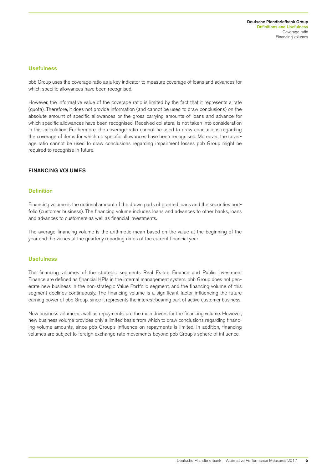#### **Usefulness**

pbb Group uses the coverage ratio as a key indicator to measure coverage of loans and advances for which specific allowances have been recognised.

However, the informative value of the coverage ratio is limited by the fact that it represents a rate (quota). Therefore, it does not provide information (and cannot be used to draw conclusions) on the absolute amount of specific allowances or the gross carrying amounts of loans and advance for which specific allowances have been recognised. Received collateral is not taken into consideration in this calculation. Furthermore, the coverage ratio cannot be used to draw conclusions regarding the coverage of items for which no specific allowances have been recognised. Moreover, the coverage ratio cannot be used to draw conclusions regarding impairment losses pbb Group might be required to recognise in future.

#### FINANCING VOLUMES

#### **Definition**

Financing volume is the notional amount of the drawn parts of granted loans and the securities portfolio (customer business). The financing volume includes loans and advances to other banks, loans and advances to customers as well as financial investments.

The average financing volume is the arithmetic mean based on the value at the beginning of the year and the values at the quarterly reporting dates of the current financial year.

#### **Usefulness**

The financing volumes of the strategic segments Real Estate Finance and Public Investment Finance are defined as financial KPIs in the internal management system. pbb Group does not generate new business in the non-strategic Value Portfolio segment, and the financing volume of this segment declines continuously. The financing volume is a significant factor influencing the future earning power of pbb Group, since it represents the interest-bearing part of active customer business.

New business volume, as well as repayments, are the main drivers for the financing volume. However, new business volume provides only a limited basis from which to draw conclusions regarding financing volume amounts, since pbb Group's influence on repayments is limited. In addition, financing volumes are subject to foreign exchange rate movements beyond pbb Group's sphere of influence.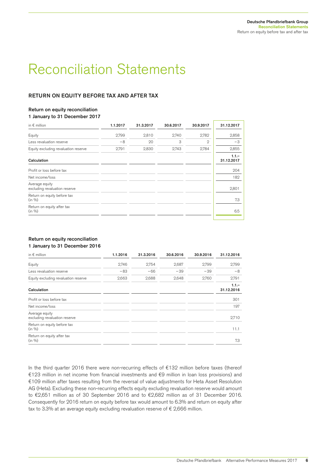# Reconciliation Statements

### RETURN ON EQUITY BEFORE TAX AND AFTER TAX

#### Return on equity reconciliation

1 January to 31 December 2017

| in $\epsilon$ million                           | 1.1.2017 | 31.3.2017 | 30.6.2017 | 30.9.2017 | 31.12.2017            |
|-------------------------------------------------|----------|-----------|-----------|-----------|-----------------------|
| Equity                                          | 2,799    | 2,810     | 2,740     | 2,782     | 2,858                 |
| Less revaluation reserve                        | $-8$     | 20        | 3         | 2         | $-3$                  |
| Equity excluding revaluation reserve            | 2,791    | 2,830     | 2,743     | 2,784     | 2,855                 |
| Calculation                                     |          |           |           |           | $1.1 -$<br>31.12.2017 |
| Profit or loss before tax                       |          |           |           |           | 204                   |
| Net income/loss                                 |          |           |           |           | 182                   |
| Average equity<br>excluding revaluation reserve |          |           |           |           | 2,801                 |
| Return on equity before tax<br>(in %)           |          |           |           |           | 7.3                   |
| Return on equity after tax<br>(in %)            |          |           |           |           | 6.5                   |

#### Return on equity reconciliation 1 January to 31 December 2016

| 1.1.2016 | 31.3.2016 | 30.6.2016 | 30.9.2016 | 31.12.2016            |
|----------|-----------|-----------|-----------|-----------------------|
| 2,746    | 2,754     | 2,687     | 2,799     | 2,799                 |
| $-83$    | $-66$     | $-39$     | $-39$     | $-8$                  |
| 2,663    | 2,688     | 2,648     | 2,760     | 2,791                 |
|          |           |           |           | $1.1 -$<br>31.12.2016 |
|          |           |           |           | 301                   |
|          |           |           |           | 197                   |
|          |           |           |           | 2,710                 |
|          |           |           |           | 11.1                  |
|          |           |           |           | 7.3                   |
|          |           |           |           |                       |

In the third quarter 2016 there were non-recurring effects of €132 million before taxes (thereof €123 million in net income from financial investments and €9 million in loan loss provisions) and €109 million after taxes resulting from the reversal of value adjustments for Heta Asset Resolution AG (Heta). Excluding these non-recurring effects equity excluding revaluation reserve would amount to €2,651 million as of 30 September 2016 and to €2,682 million as of 31 December 2016. Consequently for 2016 return on equity before tax would amount to 6.3% and return on equity after tax to 3.3% at an average equity excluding revaluation reserve of  $\epsilon$  2,666 million.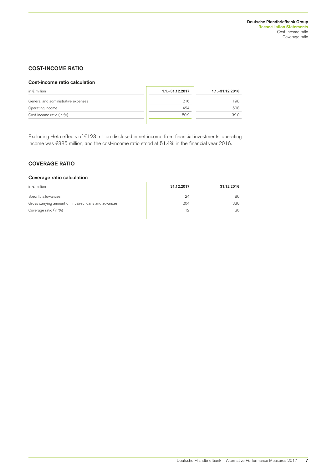### COST-INCOME RATIO

#### Cost-income ratio calculation

| in $\epsilon$ million               | $1.1 - 31.12.2017$ | $1.1 - 31.12.2016$ |
|-------------------------------------|--------------------|--------------------|
| General and administrative expenses | 216                | 198                |
| Operating income                    | 424                | 508                |
| Cost-income ratio (in %)            | 50.9               | 39.0               |
|                                     |                    |                    |

Excluding Heta effects of €123 million disclosed in net income from financial investments, operating income was €385 million, and the cost-income ratio stood at 51.4% in the financial year 2016.

## COVERAGE RATIO

#### Coverage ratio calculation

| in $\epsilon$ million                                | 31.12.2017 | 31.12.2016 |
|------------------------------------------------------|------------|------------|
| Specific allowances                                  | 24         | 86         |
| Gross carrying amount of impaired loans and advances | 204        | 336        |
| Coverage ratio (in %)                                | 12         | 26         |
|                                                      |            |            |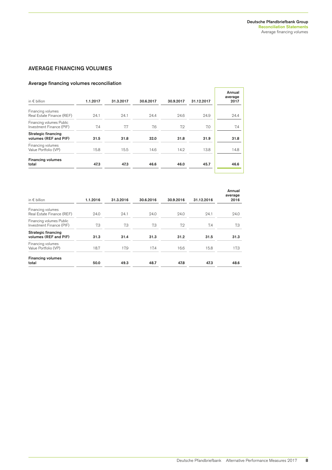r

### AVERAGE FINANCING VOLUMES

### Average financing volumes reconciliation

| in $\epsilon$ billion                                | 1.1.2017 | 31.3.2017 | 30.6.2017 | 30.9.2017 | 31.12.2017 | Annual<br>average<br>2017 |
|------------------------------------------------------|----------|-----------|-----------|-----------|------------|---------------------------|
| Financing volumes<br>Real Estate Finance (REF)       | 24.1     | 24.1      | 24.4      | 24.6      | 24.9       | 24.4                      |
| Financing volumes Public<br>Investment Finance (PIF) | 7.4      | 7.7       | 7.6       | 7.2       | 7.0        | 7.4                       |
| <b>Strategic financing</b><br>volumes (REF and PIF)  | 31.5     | 31.8      | 32.0      | 31.8      | 31.9       | 31.8                      |
| Financing volumes<br>Value Portfolio (VP)            | 15.8     | 15.5      | 14.6      | 14.2      | 13.8       | 14.8                      |
| <b>Financing volumes</b><br>total                    | 47.3     | 47.3      | 46.6      | 46.0      | 45.7       | 46.6                      |
|                                                      |          |           |           |           |            |                           |

| in $\epsilon$ billion                                | 1.1.2016 | 31.3.2016 | 30.6.2016 | 30.9.2016 | 31.12.2016 | Annual<br>average<br>2016 |
|------------------------------------------------------|----------|-----------|-----------|-----------|------------|---------------------------|
| Financing volumes<br>Real Estate Finance (REF)       | 24.0     | 24.1      | 24.0      | 24.0      | 24.1       | 24.0                      |
| Financing volumes Public<br>Investment Finance (PIF) | 7.3      | 7.3       | 7.3       | 7.2       | 7.4        | 7.3                       |
| <b>Strategic financing</b><br>volumes (REF and PIF)  | 31.3     | 31.4      | 31.3      | 31.2      | 31.5       | 31.3                      |
| Financing volumes<br>Value Portfolio (VP)            | 18.7     | 17.9      | 17.4      | 16.6      | 15.8       | 17.3                      |
| <b>Financing volumes</b><br>total                    | 50.0     | 49.3      | 48.7      | 47.8      | 47.3       | 48.6                      |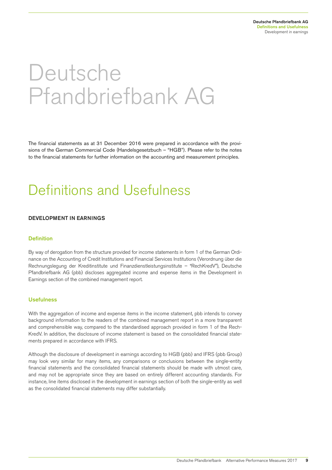# Deutsche Pfandbriefbank AG

The financial statements as at 31 December 2016 were prepared in accordance with the provisions of the German Commercial Code (Handelsgesetzbuch – "HGB"). Please refer to the notes to the financial statements for further information on the accounting and measurement principles.

# Definitions and Usefulness

#### DEVELOPMENT IN EARNINGS

#### Definition

By way of derogation from the structure provided for income statements in form 1 of the German Ordinance on the Accounting of Credit Institutions and Financial Services Institutions (Verordnung über die Rechnungslegung der Kreditinstitute und Finanzdienstleistungsinstitute – "RechKredV"), Deutsche Pfandbriefbank AG (pbb) discloses aggregated income and expense items in the Development in Earnings section of the combined management report.

#### **Usefulness**

With the aggregation of income and expense items in the income statement, pbb intends to convey background information to the readers of the combined management report in a more transparent and comprehensible way, compared to the standardised approach provided in form 1 of the Rech-KredV. In addition, the disclosure of income statement is based on the consolidated financial statements prepared in accordance with IFRS.

Although the disclosure of development in earnings according to HGB (pbb) and IFRS (pbb Group) may look very similar for many items, any comparisons or conclusions between the single-entity financial statements and the consolidated financial statements should be made with utmost care, and may not be appropriate since they are based on entirely different accounting standards. For instance, line items disclosed in the development in earnings section of both the single-entity as well as the consolidated financial statements may differ substantially.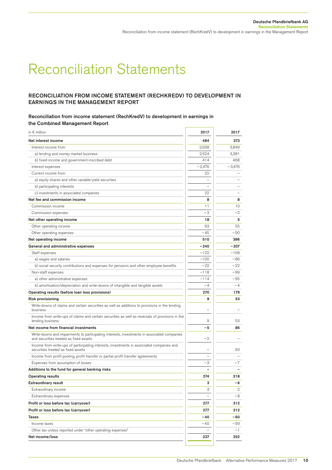# Reconciliation Statements

### RECONCILIATION FROM INCOME STATEMENT (RECHKREDV) TO DEVELOPMENT IN EARNINGS IN THE MANAGEMENT REPORT

#### Reconciliation from income statement (RechKredV) to development in earnings in the Combined Management Report

| in $\epsilon$ million                                                                                                                 | 2017                     | 2017     |
|---------------------------------------------------------------------------------------------------------------------------------------|--------------------------|----------|
| Net interest income                                                                                                                   | 484                      | 373      |
| Interest income from                                                                                                                  | 2,938                    | 3,849    |
| a) lending and money market business                                                                                                  | 2,524                    | 3,381    |
| b) fixed-income and government-inscribed debt                                                                                         | 414                      | 468      |
| Interest expenses                                                                                                                     | $-2,476$                 | $-3,476$ |
| Current income from                                                                                                                   | 22                       |          |
| a) equity shares and other variable-yield securities                                                                                  |                          |          |
| b) participating interests                                                                                                            |                          |          |
| c) investments in associated companies                                                                                                | 22                       |          |
| Net fee and commission income                                                                                                         | 8                        | 8        |
| Commission income                                                                                                                     | 11                       | 10       |
| Commission expenses                                                                                                                   | -3                       | $-2$     |
| Net other operating income                                                                                                            | 18                       | 5        |
| Other operating income                                                                                                                | 63                       | 55       |
| Other operating expenses                                                                                                              | $-45$                    | $-50$    |
| Net operating income                                                                                                                  | 510                      | 386      |
| General and administrative expenses                                                                                                   | $-240$                   | $-207$   |
| Staff expenses                                                                                                                        | $-122$                   | $-108$   |
| a) wages and salaries                                                                                                                 | $-100$                   | -86      |
| b) social security contributions and expenses for pensions and other employee benefits                                                | $-22$                    | $-22$    |
| Non-staff expenses                                                                                                                    | $-118$                   | $-99$    |
| a) other administrative expenses                                                                                                      | $-114$                   | -95      |
| b) amortisation/depreciation and write-downs of intangible and tangible assets                                                        | $-4$                     | $-4$     |
| Operating results (before loan loss provisions)                                                                                       | 270                      | 179      |
| <b>Risk provisioning</b>                                                                                                              | 9                        | 53       |
| Write-downs of claims and certain securities as well as additions to provisions in the lending<br>business                            |                          |          |
| Income from write-ups of claims and certain securities as well as reversals of provisions in the<br>lending business                  | 9                        | 53       |
| Net income from financial investments                                                                                                 | -5                       | 86       |
| Write-downs and impairments to participating interests, investments in associated companies<br>and securities treated as fixed assets | $-2$                     |          |
| Income from write-ups of participating interests, investments in associated companies and<br>securities treated as fixed assets       |                          | 93       |
| Income from profit pooling, profit transfer or partial profit transfer agreements                                                     | $\overline{\phantom{0}}$ |          |
| Expenses from assumption of losses                                                                                                    | -3                       | $-7$     |
| Additions to the fund for general banking risks                                                                                       |                          |          |
| <b>Operating results</b>                                                                                                              | 274                      | 318      |
| <b>Extraordinary result</b>                                                                                                           | 3                        | -6       |
| Extraordinary income                                                                                                                  | З                        | 2        |
| Extraordinary expenses                                                                                                                |                          | -8       |
| Profit or loss before tax (carryover)                                                                                                 | 277                      | 312      |
| Profit or loss before tax (carryover)                                                                                                 | 277                      | 312      |
| Taxes                                                                                                                                 | $-40$                    | -60      |
| Income taxes                                                                                                                          | $-40$                    | -59      |
| Other tax unless reported under "other operating expenses"                                                                            |                          | $-1$     |
| Net income/loss                                                                                                                       | 237                      | 252      |
|                                                                                                                                       |                          |          |